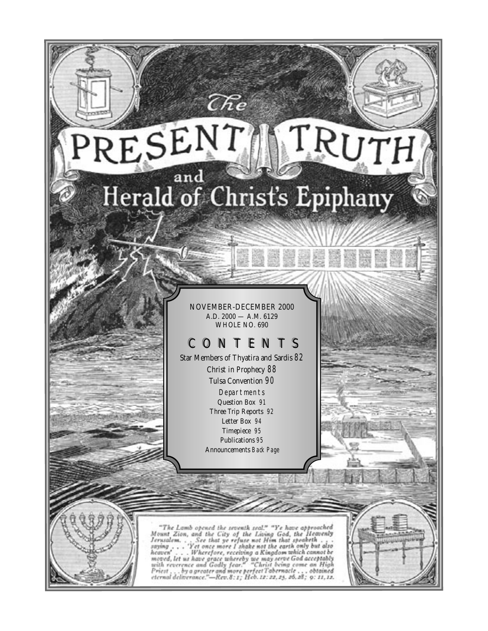# RESENT TRUTH Herald of Christ's Epiphany

 $\mathcal{E}$ e

NOVEMBER-DECEMBER 2000 A.D. 2000 — A.M. 6129 WHOLE NO. 690

## CONTENTS

Star Members of Thyatira and Sardis *82* Christ in Prophecy *88* Tulsa Convention *90* Departments Question Box *91* Three Trip Reports *92* Letter Box *94* Timepiece *95* Publications *95* Announcements *Back Page*

"The Lamb opened the seventh seal." "Ye have approached<br>Mount Zion, and the City of the Living God, the Heavenly<br>Jerusalem, . . . See that ye refuse not Him that speaketh . . .<br>saying . . . 'Yet once more I shake not the moved, let us have grace whereby we may serve God acceptably<br>with reverence and Godly fear." "Christ being come an High<br>Priest , , , by a greater and more perfect Tabernacle , , , obtained<br>eternal deliverance."—Rev.8:1; He . obtained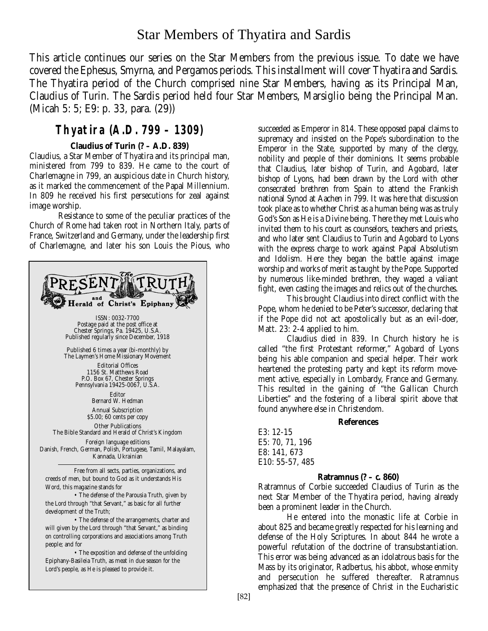## Star Members of Thyatira and Sardis

This article continues our series on the Star Members from the previous issue. To date we have covered the Ephesus, Smyrna, and Pergamos periods. This installment will cover Thyatira and Sardis. The Thyatira period of the Church comprised nine Star Members, having as its Principal Man, Claudius of Turin. The Sardis period held four Star Members, Marsiglio being the Principal Man. (Micah 5: 5; E9: p. 33, para. (29))

## **Thyatira (A.D. 799 – 1309)**

## **Claudius of Turin (? – A.D. 839)**

Claudius, a Star Member of Thyatira and its principal man, ministered from 799 to 839. He came to the court of Charlemagne in 799, an auspicious date in Church history, as it marked the commencement of the Papal Millennium. In 809 he received his first persecutions for zeal against image worship.

Resistance to some of the peculiar practices of the Church of Rome had taken root in Northern Italy, parts of France, Switzerland and Germany, under the leadership first of Charlemagne, and later his son Louis the Pious, who



succeeded as Emperor in 814. These opposed papal claims to supremacy and insisted on the Pope's subordination to the Emperor in the State, supported by many of the clergy, nobility and people of their dominions. It seems probable that Claudius, later bishop of Turin, and Agobard, later bishop of Lyons, had been drawn by the Lord with other consecrated brethren from Spain to attend the Frankish national Synod at Aachen in 799. It was here that discussion took place as to whether Christ as a human being was as truly God's Son as He is a Divine being. There they met Louis who invited them to his court as counselors, teachers and priests, and who later sent Claudius to Turin and Agobard to Lyons with the express charge to work against Papal Absolutism and Idolism. Here they began the battle against image worship and works of merit as taught by the Pope. Supported by numerous like-minded brethren, they waged a valiant fight, even casting the images and relics out of the churches.

This brought Claudius into direct conflict with the Pope, whom he denied to be Peter's successor, declaring that if the Pope did not act apostolically but as an evil-doer, Matt. 23: 2-4 applied to him.

Claudius died in 839. In Church history he is called "the first Protestant reformer," Agobard of Lyons being his able companion and special helper. Their work heartened the protesting party and kept its reform movement active, especially in Lombardy, France and Germany. This resulted in the gaining of "the Gallican Church Liberties" and the fostering of a liberal spirit above that found anywhere else in Christendom.

## **References**

E3: 12-15 E5: 70, 71, 196 E8: 141, 673 E10: 55-57, 485

## **Ratramnus (? –** *c.* **860)**

Ratramnus of Corbie succeeded Claudius of Turin as the next Star Member of the Thyatira period, having already been a prominent leader in the Church.

He entered into the monastic life at Corbie in about 825 and became greatly respected for his learning and defense of the Holy Scriptures. In about 844 he wrote a powerful refutation of the doctrine of transubstantiation. This error was being advanced as an idolatrous basis for the Mass by its originator, Radbertus, his abbot, whose enmity and persecution he suffered thereafter. Ratramnus emphasized that the presence of Christ in the Eucharistic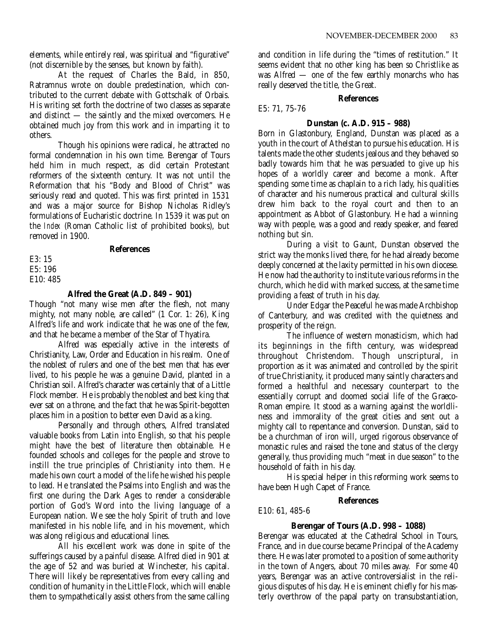elements, while entirely real, was spiritual and "figurative" (not discernible by the senses, but known by faith).

At the request of Charles the Bald, in 850, Ratramnus wrote on double predestination, which contributed to the current debate with Gottschalk of Orbais. His writing set forth the doctrine of two classes as separate and distinct — the saintly and the mixed overcomers. He obtained much joy from this work and in imparting it to others.

Though his opinions were radical, he attracted no formal condemnation in his own time. Berengar of Tours held him in much respect, as did certain Protestant reformers of the sixteenth century. It was not until the Reformation that his "Body and Blood of Christ" was seriously read and quoted. This was first printed in 1531 and was a major source for Bishop Nicholas Ridley's formulations of Eucharistic doctrine. In 1539 it was put on the *Index* (Roman Catholic list of prohibited books), but removed in 1900.

## **References**

E3: 15 E5: 196 E10: 485

## **Alfred the Great (A.D. 849 – 901)**

Though "not many wise men after the flesh, not many mighty, not many noble, are called" (1 Cor. 1: 26), King Alfred's life and work indicate that he was one of the few, and that he became a member of the Star of Thyatira.

Alfred was especially active in the interests of Christianity, Law, Order and Education in his realm. One of the noblest of rulers and one of the best men that has ever lived, to his people he was a genuine David, planted in a Christian soil. Alfred's character was certainly that of a Little Flock member. He is probably the noblest and best king that ever sat on a throne, and the fact that he was Spirit-begotten places him in a position to better even David as a king.

Personally and through others, Alfred translated valuable books from Latin into English, so that his people might have the best of literature then obtainable. He founded schools and colleges for the people and strove to instill the true principles of Christianity into them. He made his own court a model of the life he wished his people to lead. He translated the Psalms into English and was the first one during the Dark Ages to render a considerable portion of God's Word into the living language of a European nation. We see the holy Spirit of truth and love manifested in his noble life, and in his movement, which was along religious and educational lines.

All his excellent work was done in spite of the sufferings caused by a painful disease. Alfred died in 901 at the age of 52 and was buried at Winchester, his capital. There will likely be representatives from every calling and condition of humanity in the Little Flock, which will enable them to sympathetically assist others from the same calling and condition in life during the "times of restitution." It seems evident that no other king has been so Christlike as was Alfred — one of the few earthly monarchs who has really deserved the title, the Great.

## **References**

E5: 71, 75-76

## **Dunstan (c. A.D. 915 – 988)**

Born in Glastonbury, England, Dunstan was placed as a youth in the court of Athelstan to pursue his education. His talents made the other students jealous and they behaved so badly towards him that he was persuaded to give up his hopes of a worldly career and become a monk. After spending some time as chaplain to a rich lady, his qualities of character and his numerous practical and cultural skills drew him back to the royal court and then to an appointment as Abbot of Glastonbury. He had a winning way with people, was a good and ready speaker, and feared nothing but sin.

During a visit to Gaunt, Dunstan observed the strict way the monks lived there, for he had already become deeply concerned at the laxity permitted in his own diocese. He now had the authority to institute various reforms in the church, which he did with marked success, at the same time providing a feast of truth in his day.

Under Edgar the Peaceful he was made Archbishop of Canterbury, and was credited with the quietness and prosperity of the reign.

The influence of western monasticism, which had its beginnings in the fifth century, was widespread throughout Christendom. Though unscriptural, in proportion as it was animated and controlled by the spirit of true Christianity, it produced many saintly characters and formed a healthful and necessary counterpart to the essentially corrupt and doomed social life of the Graeco-Roman empire. It stood as a warning against the worldliness and immorality of the great cities and sent out a mighty call to repentance and conversion. Dunstan, said to be a churchman of iron will, urged rigorous observance of monastic rules and raised the tone and status of the clergy generally, thus providing much "meat in due season" to the household of faith in his day.

His special helper in this reforming work seems to have been Hugh Capet of France.

## **References**

E10: 61, 485-6

## **Berengar of Tours (A.D. 998 – 1088)**

Berengar was educated at the Cathedral School in Tours, France, and in due course became Principal of the Academy there. He was later promoted to a position of some authority in the town of Angers, about 70 miles away. For some 40 years, Berengar was an active controversialist in the religious disputes of his day. He is eminent chiefly for his masterly overthrow of the papal party on transubstantiation,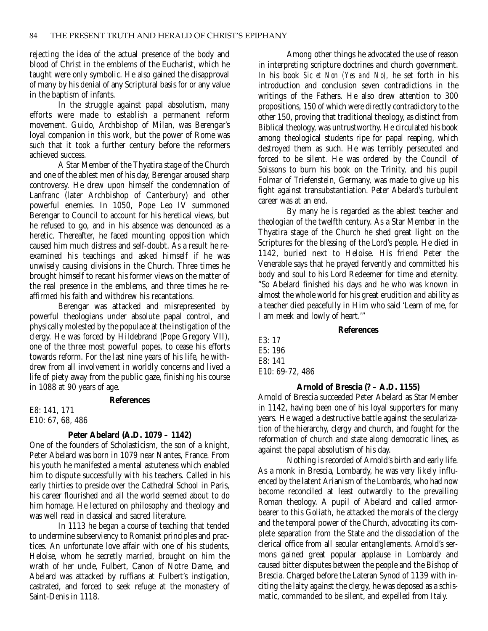rejecting the idea of the actual presence of the body and blood of Christ in the emblems of the Eucharist, which he taught were only symbolic. He also gained the disapproval of many by his denial of any Scriptural basis for or any value in the baptism of infants.

In the struggle against papal absolutism, many efforts were made to establish a permanent reform movement. Guido, Archbishop of Milan, was Berengar's loyal companion in this work, but the power of Rome was such that it took a further century before the reformers achieved success.

A Star Member of the Thyatira stage of the Church and one of the ablest men of his day, Berengar aroused sharp controversy. He drew upon himself the condemnation of Lanfranc (later Archbishop of Canterbury) and other powerful enemies. In 1050, Pope Leo IV summoned Berengar to Council to account for his heretical views, but he refused to go, and in his absence was denounced as a heretic. Thereafter, he faced mounting opposition which caused him much distress and self-doubt. As a result he reexamined his teachings and asked himself if he was unwisely causing divisions in the Church. Three times he brought himself to recant his former views on the matter of the real presence in the emblems, and three times he reaffirmed his faith and withdrew his recantations.

Berengar was attacked and misrepresented by powerful theologians under absolute papal control, and physically molested by the populace at the instigation of the clergy. He was forced by Hildebrand (Pope Gregory VII), one of the three most powerful popes, to cease his efforts towards reform. For the last nine years of his life, he withdrew from all involvement in worldly concerns and lived a life of piety away from the public gaze, finishing his course in 1088 at 90 years of age.

## **References**

E8: 141, 171 E10: 67, 68, 486

## **Peter Abelard (A.D. 1079 – 1142)**

One of the founders of Scholasticism, the son of a knight, Peter Abelard was born in 1079 near Nantes, France. From his youth he manifested a mental astuteness which enabled him to dispute successfully with his teachers. Called in his early thirties to preside over the Cathedral School in Paris, his career flourished and all the world seemed about to do him homage. He lectured on philosophy and theology and was well read in classical and sacred literature.

In 1113 he began a course of teaching that tended to undermine subserviency to Romanist principles and practices. An unfortunate love affair with one of his students, Heloise, whom he secretly married, brought on him the wrath of her uncle, Fulbert, Canon of Notre Dame, and Abelard was attacked by ruffians at Fulbert's instigation, castrated, and forced to seek refuge at the monastery of Saint-Denis in 1118.

Among other things he advocated the use of reason in interpreting scripture doctrines and church government. In his book *Sic et Non (Yes and No),* he set forth in his introduction and conclusion seven contradictions in the writings of the Fathers. He also drew attention to 300 propositions, 150 of which were directly contradictory to the other 150, proving that traditional theology, as distinct from Biblical theology, was untrustworthy. He circulated his book among theological students ripe for papal reaping, which destroyed them as such. He was terribly persecuted and forced to be silent. He was ordered by the Council of Soissons to burn his book on the Trinity, and his pupil Folmar of Triefenstein, Germany, was made to give up his fight against transubstantiation. Peter Abelard's turbulent career was at an end.

By many he is regarded as the ablest teacher and theologian of the twelfth century. As a Star Member in the Thyatira stage of the Church he shed great light on the Scriptures for the blessing of the Lord's people. He died in 1142, buried next to Heloise. His friend Peter the Venerable says that he prayed fervently and committed his body and soul to his Lord Redeemer for time and eternity. "So Abelard finished his days and he who was known in almost the whole world for his great erudition and ability as a teacher died peacefully in Him who said 'Learn of me, for I am meek and lowly of heart.'"

## **References**

| E3:17                        |  |
|------------------------------|--|
| E5:196                       |  |
| E8:141                       |  |
| E <sub>10</sub> : 69-72, 486 |  |

## **Arnold of Brescia (? – A.D. 1155)**

Arnold of Brescia succeeded Peter Abelard as Star Member in 1142, having been one of his loyal supporters for many years. He waged a destructive battle against the secularization of the hierarchy, clergy and church, and fought for the reformation of church and state along democratic lines, as against the papal absolutism of his day.

Nothing is recorded of Arnold's birth and early life. As a monk in Brescia, Lombardy, he was very likely influenced by the latent Arianism of the Lombards, who had now become reconciled at least outwardly to the prevailing Roman theology. A pupil of Abelard and called armorbearer to this Goliath, he attacked the morals of the clergy and the temporal power of the Church, advocating its complete separation from the State and the dissociation of the clerical office from all secular entanglements. Arnold's sermons gained great popular applause in Lombardy and caused bitter disputes between the people and the Bishop of Brescia. Charged before the Lateran Synod of 1139 with inciting the laity against the clergy, he was deposed as a schismatic, commanded to be silent, and expelled from Italy.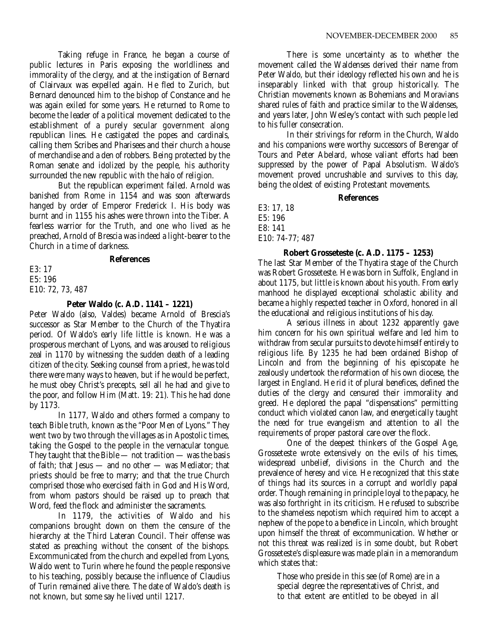Taking refuge in France, he began a course of public lectures in Paris exposing the worldliness and immorality of the clergy, and at the instigation of Bernard of Clairvaux was expelled again. He fled to Zurich, but Bernard denounced him to the bishop of Constance and he was again exiled for some years. He returned to Rome to become the leader of a political movement dedicated to the establishment of a purely secular government along republican lines. He castigated the popes and cardinals, calling them Scribes and Pharisees and their church a house of merchandise and a den of robbers. Being protected by the Roman senate and idolized by the people, his authority surrounded the new republic with the halo of religion.

But the republican experiment failed. Arnold was banished from Rome in 1154 and was soon afterwards hanged by order of Emperor Frederick I. His body was burnt and in 1155 his ashes were thrown into the Tiber. A fearless warrior for the Truth, and one who lived as he preached, Arnold of Brescia was indeed a light-bearer to the Church in a time of darkness.

## **References**

E3: 17 E5: 196 E10: 72, 73, 487

## **Peter Waldo (c. A.D. 1141 – 1221)**

Peter Waldo (also, Valdes) became Arnold of Brescia's successor as Star Member to the Church of the Thyatira period. Of Waldo's early life little is known. He was a prosperous merchant of Lyons, and was aroused to religious zeal in 1170 by witnessing the sudden death of a leading citizen of the city. Seeking counsel from a priest, he was told there were many ways to heaven, but if he would be perfect, he must obey Christ's precepts, sell all he had and give to the poor, and follow Him (Matt. 19: 21). This he had done by 1173.

In 1177, Waldo and others formed a company to teach Bible truth, known as the "Poor Men of Lyons." They went two by two through the villages as in Apostolic times, taking the Gospel to the people in the vernacular tongue. They taught that the Bible  $-$  not tradition  $-$  was the basis of faith; that Jesus — and no other — was Mediator; that priests should be free to marry; and that the true Church comprised those who exercised faith in God and His Word, from whom pastors should be raised up to preach that Word, feed the flock and administer the sacraments.

In 1179, the activities of Waldo and his companions brought down on them the censure of the hierarchy at the Third Lateran Council. Their offense was stated as preaching without the consent of the bishops. Excommunicated from the church and expelled from Lyons, Waldo went to Turin where he found the people responsive to his teaching, possibly because the influence of Claudius of Turin remained alive there. The date of Waldo's death is not known, but some say he lived until 1217.

There is some uncertainty as to whether the movement called the Waldenses derived their name from Peter Waldo, but their ideology reflected his own and he is inseparably linked with that group historically. The Christian movements known as Bohemians and Moravians shared rules of faith and practice similar to the Waldenses, and years later, John Wesley's contact with such people led to his fuller consecration.

In their strivings for reform in the Church, Waldo and his companions were worthy successors of Berengar of Tours and Peter Abelard, whose valiant efforts had been suppressed by the power of Papal Absolutism. Waldo's movement proved uncrushable and survives to this day, being the oldest of existing Protestant movements.

## **References**

E3: 17, 18 E5: 196 E8: 141 E10: 74-77; 487

**Robert Grosseteste (c. A.D. 1175 – 1253)**

The last Star Member of the Thyatira stage of the Church was Robert Grosseteste. He was born in Suffolk, England in about 1175, but little is known about his youth. From early manhood he displayed exceptional scholastic ability and became a highly respected teacher in Oxford, honored in all the educational and religious institutions of his day.

A serious illness in about 1232 apparently gave him concern for his own spiritual welfare and led him to withdraw from secular pursuits to devote himself entirely to religious life. By 1235 he had been ordained Bishop of Lincoln and from the beginning of his episcopate he zealously undertook the reformation of his own diocese, the largest in England. He rid it of plural benefices, defined the duties of the clergy and censured their immorality and greed. He deplored the papal "dispensations" permitting conduct which violated canon law, and energetically taught the need for true evangelism and attention to all the requirements of proper pastoral care over the flock.

One of the deepest thinkers of the Gospel Age, Grosseteste wrote extensively on the evils of his times, widespread unbelief, divisions in the Church and the prevalence of heresy and vice. He recognized that this state of things had its sources in a corrupt and worldly papal order. Though remaining in principle loyal to the papacy, he was also forthright in its criticism. He refused to subscribe to the shameless nepotism which required him to accept a nephew of the pope to a benefice in Lincoln, which brought upon himself the threat of excommunication. Whether or not this threat was realized is in some doubt, but Robert Grosseteste's displeasure was made plain in a memorandum which states that:

Those who preside in this see (of Rome) are in a special degree the representatives of Christ, and to that extent are entitled to be obeyed in all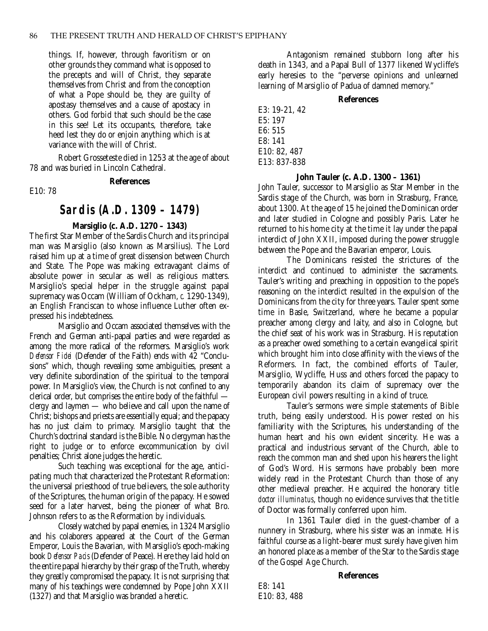things. If, however, through favoritism or on other grounds they command what is opposed to the precepts and will of Christ, they separate themselves from Christ and from the conception of what a Pope should be, they are guilty of apostasy themselves and a cause of apostacy in others. God forbid that such should be the case in this see! Let its occupants, therefore, take heed lest they do or enjoin anything which is at variance with the will of Christ.

Robert Grosseteste died in 1253 at the age of about 78 and was buried in Lincoln Cathedral.

#### **References**

E10: 78

## **Sardis (A.D. 1309 – 1479)**

## **Marsiglio (c. A.D. 1270 – 1343)**

The first Star Member of the Sardis Church and its principal man was Marsiglio (also known as Marsilius). The Lord raised him up at a time of great dissension between Church and State. The Pope was making extravagant claims of absolute power in secular as well as religious matters. Marsiglio's special helper in the struggle against papal supremacy was Occam (William of Ockham, *c.* 1290-1349), an English Franciscan to whose influence Luther often expressed his indebtedness.

Marsiglio and Occam associated themselves with the French and German anti-papal parties and were regarded as among the more radical of the reformers. Marsiglio's work *Defensor Fidei* (Defender of the Faith) ends with 42 "Conclusions" which, though revealing some ambiguities, present a very definite subordination of the spiritual to the temporal power. In Marsiglio's view, the Church is not confined to any clerical order, but comprises the entire body of the faithful clergy and laymen — who believe and call upon the name of Christ; bishops and priests are essentially equal; and the papacy has no just claim to primacy. Marsiglio taught that the Church's doctrinal standard is the Bible. No clergyman has the right to judge or to enforce excommunication by civil penalties; Christ alone judges the heretic.

Such teaching was exceptional for the age, anticipating much that characterized the Protestant Reformation: the universal priesthood of true believers, the sole authority of the Scriptures, the human origin of the papacy. He sowed seed for a later harvest, being the pioneer of what Bro. Johnson refers to as the Reformation by individuals.

Closely watched by papal enemies, in 1324 Marsiglio and his colaborers appeared at the Court of the German Emperor, Louis the Bavarian, with Marsiglio's epoch-making book *Defensor Pacis* (Defender of Peace). Here they laid hold on the entire papal hierarchy by their grasp of the Truth, whereby they greatly compromised the papacy. It is not surprising that many of his teachings were condemned by Pope John XXII (1327) and that Marsiglio was branded a heretic.

Antagonism remained stubborn long after his death in 1343, and a Papal Bull of 1377 likened Wycliffe's early heresies to the "perverse opinions and unlearned learning of Marsiglio of Padua of damned memory."

### **References**

E3: 19-21, 42  $E5 \cdot 197$ E6: 515 E8: 141 E10: 82, 487 E13: 837-838

## **John Tauler (c. A.D. 1300 – 1361)**

John Tauler, successor to Marsiglio as Star Member in the Sardis stage of the Church, was born in Strasburg, France, about 1300. At the age of 15 he joined the Dominican order and later studied in Cologne and possibly Paris. Later he returned to his home city at the time it lay under the papal interdict of John XXII, imposed during the power struggle between the Pope and the Bavarian emperor, Louis.

The Dominicans resisted the strictures of the interdict and continued to administer the sacraments. Tauler's writing and preaching in opposition to the pope's reasoning on the interdict resulted in the expulsion of the Dominicans from the city for three years. Tauler spent some time in Basle, Switzerland, where he became a popular preacher among clergy and laity, and also in Cologne, but the chief seat of his work was in Strasburg. His reputation as a preacher owed something to a certain evangelical spirit which brought him into close affinity with the views of the Reformers. In fact, the combined efforts of Tauler, Marsiglio, Wycliffe, Huss and others forced the papacy to temporarily abandon its claim of supremacy over the European civil powers resulting in a kind of truce.

Tauler's sermons were simple statements of Bible truth, being easily understood. His power rested on his familiarity with the Scriptures, his understanding of the human heart and his own evident sincerity. He was a practical and industrious servant of the Church, able to reach the common man and shed upon his hearers the light of God's Word. His sermons have probably been more widely read in the Protestant Church than those of any other medieval preacher. He acquired the honorary title *doctor illuminatus*, though no evidence survives that the title of Doctor was formally conferred upon him.

In 1361 Tauler died in the guest-chamber of a nunnery in Strasburg, where his sister was an inmate. His faithful course as a light-bearer must surely have given him an honored place as a member of the Star to the Sardis stage of the Gospel Age Church.

## **References**

E8: 141 E10: 83, 488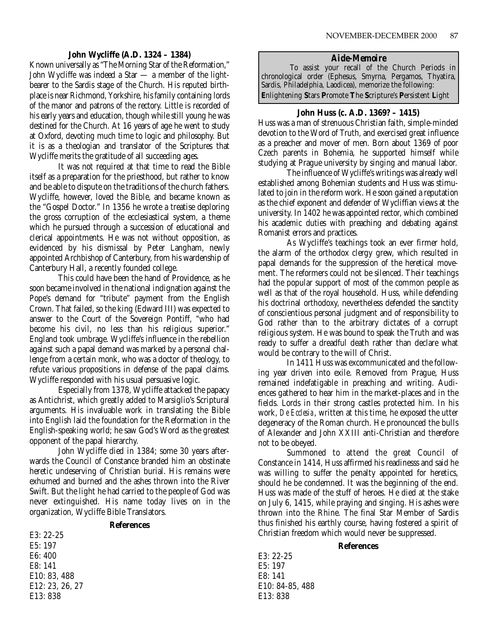### **John Wycliffe (A.D. 1324 – 1384)**

Known universally as "The Morning Star of the Reformation," John Wycliffe was indeed a Star — a member of the lightbearer to the Sardis stage of the Church. His reputed birthplace is near Richmond, Yorkshire, his family containing lords of the manor and patrons of the rectory. Little is recorded of his early years and education, though while still young he was destined for the Church. At 16 years of age he went to study at Oxford, devoting much time to logic and philosophy. But it is as a theologian and translator of the Scriptures that Wycliffe merits the gratitude of all succeeding ages.

It was not required at that time to read the Bible itself as a preparation for the priesthood, but rather to know and be able to dispute on the traditions of the church fathers. Wycliffe, however, loved the Bible, and became known as the "Gospel Doctor." In 1356 he wrote a treatise deploring the gross corruption of the ecclesiastical system, a theme which he pursued through a succession of educational and clerical appointments. He was not without opposition, as evidenced by his dismissal by Peter Langham, newly appointed Archbishop of Canterbury, from his wardenship of Canterbury Hall, a recently founded college.

This could have been the hand of Providence, as he soon became involved in the national indignation against the Pope's demand for "tribute" payment from the English Crown. That failed, so the king (Edward III) was expected to answer to the Court of the Sovereign Pontiff, "who had become his civil, no less than his religious superior." England took umbrage. Wycliffe's influence in the rebellion against such a papal demand was marked by a personal challenge from a certain monk, who was a doctor of theology, to refute various propositions in defense of the papal claims. Wycliffe responded with his usual persuasive logic.

Especially from 1378, Wycliffe attacked the papacy as Antichrist, which greatly added to Marsiglio's Scriptural arguments. His invaluable work in translating the Bible into English laid the foundation for the Reformation in the English-speaking world; he saw God's Word as the greatest opponent of the papal hierarchy.

John Wycliffe died in 1384; some 30 years afterwards the Council of Constance branded him an obstinate heretic undeserving of Christian burial. His remains were exhumed and burned and the ashes thrown into the River Swift. But the light he had carried to the people of God was never extinguished. His name today lives on in the organization, Wycliffe Bible Translators.

#### **References**

E3: 22-25 E5: 197 E6: 400 E8: 141 E10: 83, 488 E12: 23, 26, 27 E13: 838

## *Aide-Memoire*

To assist your recall of the Church Periods in chronological order (Ephesus, Smyrna, Pergamos, Thyatira, Sardis, Philadelphia, Laodicea), memorize the following: **E**nlightening **S**tars **P**romote **T**he **S**cripture's **P**ersistent **L**ight

#### **John Huss (c. A.D. 1369? – 1415)**

Huss was a man of strenuous Christian faith, simple-minded devotion to the Word of Truth, and exercised great influence as a preacher and mover of men. Born about 1369 of poor Czech parents in Bohemia, he supported himself while studying at Prague university by singing and manual labor.

The influence of Wycliffe's writings was already well established among Bohemian students and Huss was stimulated to join in the reform work. He soon gained a reputation as the chief exponent and defender of Wycliffian views at the university. In 1402 he was appointed rector, which combined his academic duties with preaching and debating against Romanist errors and practices.

As Wycliffe's teachings took an ever firmer hold, the alarm of the orthodox clergy grew, which resulted in papal demands for the suppression of the heretical movement. The reformers could not be silenced. Their teachings had the popular support of most of the common people as well as that of the royal household. Huss, while defending his doctrinal orthodoxy, nevertheless defended the sanctity of conscientious personal judgment and of responsibility to God rather than to the arbitrary dictates of a corrupt religious system. He was bound to speak the Truth and was ready to suffer a dreadful death rather than declare what would be contrary to the will of Christ.

In 1411 Huss was excommunicated and the following year driven into exile. Removed from Prague, Huss remained indefatigable in preaching and writing. Audiences gathered to hear him in the market-places and in the fields. Lords in their strong castles protected him. In his work, *De Ecclesia*, written at this time, he exposed the utter degeneracy of the Roman church. He pronounced the bulls of Alexander and John XXIII anti-Christian and therefore not to be obeyed.

Summoned to attend the great Council of Constance in 1414, Huss affirmed his readinesss and said he was willing to suffer the penalty appointed for heretics, should he be condemned. It was the beginning of the end. Huss was made of the stuff of heroes. He died at the stake on July 6, 1415, while praying and singing. His ashes were thrown into the Rhine. The final Star Member of Sardis thus finished his earthly course, having fostered a spirit of Christian freedom which would never be suppressed.

#### **References**

E3: 22-25 E5: 197 E8: 141 E10: 84-85, 488 E13: 838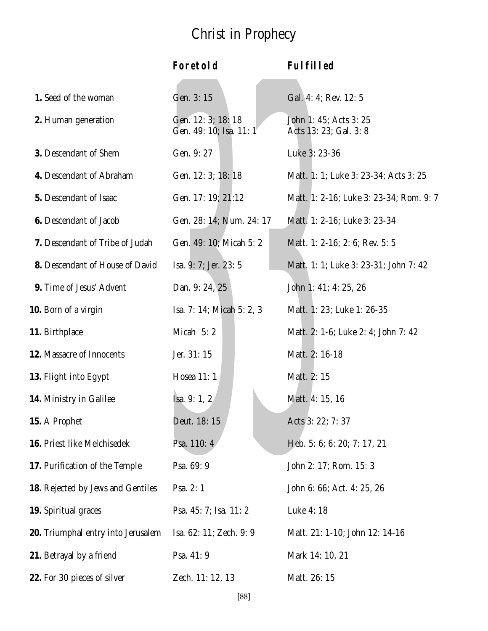## Christ in Prophecy

|                                    | Foretold                                      | Fulfilled                                        |
|------------------------------------|-----------------------------------------------|--------------------------------------------------|
| 1. Seed of the woman               | Gen. 3: 15                                    | Gal. 4: 4; Rev. 12: 5                            |
| 2. Human generation                | Gen. 12: 3; 18: 18<br>Gen. 49: 10; Isa. 11: 1 | John 1: 45; Acts 3: 25<br>Acts 13: 23; Gal. 3: 8 |
| 3. Descendant of Shem              | Gen. 9: 27                                    | Luke 3: 23-36                                    |
| 4. Descendant of Abraham           | Gen. 12: 3; 18: 18                            | Matt. 1: 1; Luke 3: 23-34; Acts 3: 25            |
| 5. Descendant of Isaac             | Gen. 17: 19; 21:12                            | Matt. 1: 2-16; Luke 3: 23-34; Rom. 9: 7          |
| 6. Descendant of Jacob             | Gen. 28: 14; Num. 24: 17                      | Matt. 1: 2-16; Luke 3: 23-34                     |
| 7. Descendant of Tribe of Judah    | Gen. 49: 10; Micah 5: 2                       | Matt. 1: 2-16; 2: 6; Rev. 5: 5                   |
| 8. Descendant of House of David    | Isa. 9: 7; Jer. 23: 5                         | Matt. 1: 1; Luke 3: 23-31; John 7: 42            |
| 9. Time of Jesus' Advent           | Dan. 9: 24, 25                                | John 1: 41; 4: 25, 26                            |
| 10. Born of a virgin               | Isa. 7: 14; Micah 5: 2, 3                     | Matt. 1: 23; Luke 1: 26-35                       |
| 11. Birthplace                     | Micah 5:2                                     | Matt. 2: 1-6; Luke 2: 4; John 7: 42              |
| 12. Massacre of Innocents          | Jer. 31: 15                                   | Matt. 2: 16-18                                   |
| 13. Flight into Egypt              | Hosea 11: 1                                   | Matt. 2: 15                                      |
| 14. Ministry in Galilee            | Isa. 9: 1, 2                                  | Matt. 4: 15, 16                                  |
| 15. A Prophet                      | Deut. 18: 15                                  | Acts 3: 22; 7: 37                                |
| 16. Priest like Melchisedek        | Psa. 110: 4                                   | Heb. 5: 6; 6: 20; 7: 17, 21                      |
| 17. Purification of the Temple     | Psa. 69: 9                                    | John 2: 17; Rom. 15: 3                           |
| 18. Rejected by Jews and Gentiles  | Psa. 2: 1                                     | John 6: 66; Act. 4: 25, 26                       |
| 19. Spiritual graces               | Psa. 45: 7; Isa. 11: 2                        | Luke 4: 18                                       |
| 20. Triumphal entry into Jerusalem | Isa. 62: 11; Zech. 9: 9                       | Matt. 21: 1-10; John 12: 14-16                   |
| 21. Betrayal by a friend           | Psa. 41: 9                                    | Mark 14: 10, 21                                  |
| 22. For 30 pieces of silver        | Zech. 11: 12, 13                              | Matt. 26: 15                                     |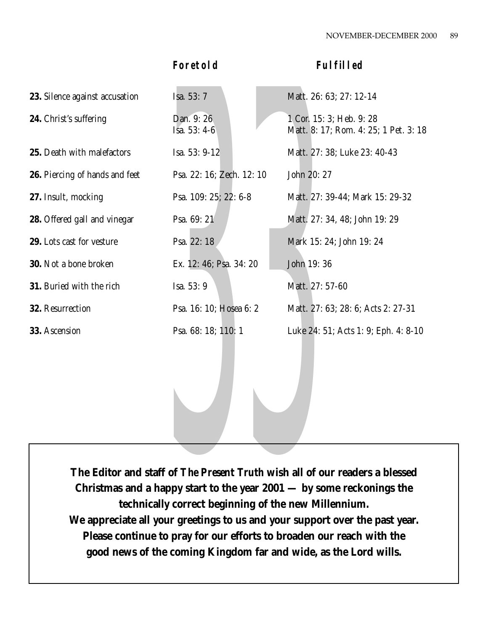| 23. Silence against accusation | Isa. 53: 7                   | Matt. 26: 63; 27: 12-14                                           |
|--------------------------------|------------------------------|-------------------------------------------------------------------|
| 24. Christ's suffering         | Dan. 9: 26<br>Isa. $53: 4-6$ | 1 Cor. 15: 3; Heb. 9: 28<br>Matt. 8: 17; Rom. 4: 25; 1 Pet. 3: 18 |
| 25. Death with malefactors     | Isa. 53: 9-12                | Matt. 27: 38; Luke 23: 40-43                                      |
| 26. Piercing of hands and feet | Psa. 22: 16; Zech. 12: 10    | John 20: 27                                                       |
| 27. Insult, mocking            | Psa. 109: 25; 22: 6-8        | Matt. 27: 39-44; Mark 15: 29-32                                   |
| 28. Offered gall and vinegar   | Psa. 69: 21                  | Matt. 27: 34, 48; John 19: 29                                     |
| 29. Lots cast for vesture      | Psa. 22:18                   | Mark 15: 24; John 19: 24                                          |
| <b>30.</b> Not a bone broken   | Ex. 12: 46; Psa. 34: 20      | John 19:36                                                        |
| 31. Buried with the rich       | Isa. 53: 9                   | Matt. 27: 57-60                                                   |
| 32. Resurrection               | Psa. 16: 10; Hosea 6: 2      | Matt. 27: 63; 28: 6; Acts 2: 27-31                                |
| 33. Ascension                  | Psa. 68: 18; 110: 1          | Luke 24: 51; Acts 1: 9; Eph. 4: 8-10                              |

**Foretold Fulfilled**

Psa. 68: 18; 110: 1<br>Luke 24:<br> $\frac{1}{2}$ <br> $\frac{1}{2}$ <br> $\frac{1}{2}$ <br> $\frac{1}{2}$ <br> $\frac{1}{2}$ <br> $\frac{1}{2}$ <br> $\frac{1}{2}$ <br> $\frac{1}{2}$ <br> $\frac{1}{2}$ <br> $\frac{1}{2}$ <br> $\frac{1}{2}$ <br> $\frac{1}{2}$ <br> $\frac{1}{2}$ <br> $\frac{1}{2}$ <br> $\frac{1}{2}$ <br> $\frac{1}{2}$ <br> $\frac{1}{2}$ <br> $\frac{1}{2}$ <br> $\frac{1}{2}$ <br> $\$ **The Editor and staff of** *The Present Truth* **wish all of our readers a blessed Christmas and a happy start to the year 2001 — by some reckonings the technically correct beginning of the new Millennium. We appreciate all your greetings to us and your support over the past year. Please continue to pray for our efforts to broaden our reach with the good news of the coming Kingdom far and wide, as the Lord wills.**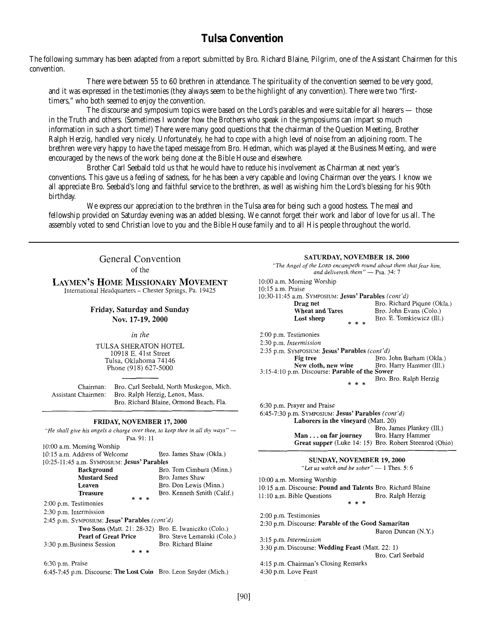## **Tulsa Convention**

The following summary has been adapted from a report submitted by Bro. Richard Blaine, Pilgrim, one of the Assistant Chairmen for this convention.

There were between 55 to 60 brethren in attendance. The spirituality of the convention seemed to be very good, and it was expressed in the testimonies (they always seem to be the highlight of any convention). There were two "firsttimers," who both seemed to enjoy the convention.

The discourse and symposium topics were based on the Lord's parables and were suitable for all hearers — those in the Truth and others. (Sometimes I wonder how the Brothers who speak in the symposiums can impart so much information in such a short time!) There were many good questions that the chairman of the Question Meeting, Brother Ralph Herzig, handled very nicely. Unfortunately, he had to cope with a high level of noise from an adjoining room. The brethren were very happy to have the taped message from Bro. Hedman, which was played at the Business Meeting, and were encouraged by the news of the work being done at the Bible House and elsewhere.

Brother Carl Seebald told us that he would have to reduce his involvement as Chairman at next year's conventions. This gave us a feeling of sadness, for he has been a very capable and loving Chairman over the years. I know we all appreciate Bro. Seebald's long and faithful service to the brethren, as well as wishing him the Lord's blessing for his 90th birthday.

We express our appreciation to the brethren in the Tulsa area for being such a good hostess. The meal and fellowship provided on Saturday evening was an added blessing. We cannot forget their work and labor of love for us all. The assembly voted to send Christian love to you and the Bible House family and to all His people throughout the world.

| <b>General Convention</b><br>of the                                                                                                                                                                                                                                                                                                                                                                                                                                                                                                                                                                          | SATURDAY, NOVEMBER 18, 2000<br>"The Angel of the LORD encampeth round about them that fear him,<br>and delivereth them" - Psa. 34: 7                                                                                                                                                                                           |  |
|--------------------------------------------------------------------------------------------------------------------------------------------------------------------------------------------------------------------------------------------------------------------------------------------------------------------------------------------------------------------------------------------------------------------------------------------------------------------------------------------------------------------------------------------------------------------------------------------------------------|--------------------------------------------------------------------------------------------------------------------------------------------------------------------------------------------------------------------------------------------------------------------------------------------------------------------------------|--|
| <b>LAYMEN'S HOME MISSIONARY MOVEMENT</b><br>International Headquarters - Chester Springs, Pa. 19425                                                                                                                                                                                                                                                                                                                                                                                                                                                                                                          | 10:00 a.m. Morning Worship<br>10:15 a.m. Praise<br>10:30-11:45 a.m. SYMPOSIUM: Jesus' Parables (cont'd)<br>Bro. Richard Piqune (Okla.)<br>Drag net                                                                                                                                                                             |  |
| Friday, Saturday and Sunday<br>Nov. 17-19, 2000                                                                                                                                                                                                                                                                                                                                                                                                                                                                                                                                                              | <b>Wheat and Tares</b><br>Bro. John Evans (Colo.)<br>Bro. E. Tomkiewicz (Ill.)<br>Lost sheep                                                                                                                                                                                                                                   |  |
| in the<br>TULSA SHERATON HOTEL<br>10918 E. 41st Street<br>Tulsa, Oklahoma 74146<br>Phone (918) 627-5000                                                                                                                                                                                                                                                                                                                                                                                                                                                                                                      | 2:00 p.m. Testimonies<br>2:30 p.m. Intermission<br>2:35 p.m. SYMPOSIUM: Jesus' Parables (cont'd)<br>Bro. John Barham (Okla.)<br>Fig tree<br>New cloth, new wine<br>Bro. Harry Hammer (Ill.)<br>3:15-4:10 p.m. Discourse: Parable of the Sower                                                                                  |  |
| Bro. Carl Seebald, North Muskegon, Mich.<br>Chairman:<br>Bro. Ralph Herzig, Lenox, Mass.<br><b>Assistant Chairmen:</b><br>Bro. Richard Blaine, Ormond Beach, Fla.<br><b>FRIDAY, NOVEMBER 17, 2000</b><br>"He shall give his angels a charge over thee, to keep thee in all thy ways" --<br>Psa. 91: 11<br>10:00 a.m. Morning Worship                                                                                                                                                                                                                                                                         | Bro. Bro. Ralph Herzig<br>* * *<br>6:30 p.m. Prayer and Praise<br>6:45-7:30 p.m. SYMPOSIUM: Jesus' Parables (cont'd)<br>Laborers in the vineyard (Matt. 20)<br>Bro. James Plankey (Ill.)<br>Bro. Harry Hammer<br>Man on far journey<br>Great supper (Luke 14: 15) Bro. Robert Steenrod (Ohio)                                  |  |
| 10:15 a.m. Address of Welcome<br>Bro. James Shaw (Okla.)<br>10:25-11:45 a.m. SYMPOSIUM: Jesus' Parables<br>Bro. Tom Cimbura (Minn.)<br><b>Background</b><br><b>Mustard Seed</b><br>Bro. James Shaw<br>Bro. Don Lewis (Minn.)<br>Leaven<br>Bro. Kenneth Smith (Calif.)<br><b>Treasure</b><br>* * *<br>2:00 p.m. Testimonies<br>2:30 p.m. Intermission<br>2:45 p.m. SYMPOSIUM: Jesus' Parables (cont'd)<br>Two Sons (Matt. 21: 28-32) Bro. E. Iwaniczko (Colo.)<br>Bro. Steve Lemanski (Colo.)<br><b>Pearl of Great Price</b><br>Bro. Richard Blaine<br>3:30 p.m.Business Session<br>* * *<br>6:30 p.m. Praise | SUNDAY, NOVEMBER 19, 2000<br>"Let us watch and be sober" $-1$ Thes. 5: 6<br>10:00 a.m. Morning Worship<br>10:15 a.m. Discourse: Pound and Talents Bro. Richard Blaine<br>Bro. Ralph Herzig<br>11:10 a.m. Bible Questions<br>2:00 p.m. Testimonies<br>2:30 p.m. Discourse: Parable of the Good Samaritan<br>Baron Duncan (N.Y.) |  |
|                                                                                                                                                                                                                                                                                                                                                                                                                                                                                                                                                                                                              | 3:15 p.m. Intermission<br>3:30 p.m. Discourse: Wedding Feast (Matt. 22: 1)<br>Bro. Carl Seebald<br>4:15 p.m. Chairman's Closing Remarks                                                                                                                                                                                        |  |
| 6:45-7:45 p.m. Discourse: The Lost Coin Bro. Leon Snyder (Mich.)                                                                                                                                                                                                                                                                                                                                                                                                                                                                                                                                             | 4:30 p.m. Love Feast                                                                                                                                                                                                                                                                                                           |  |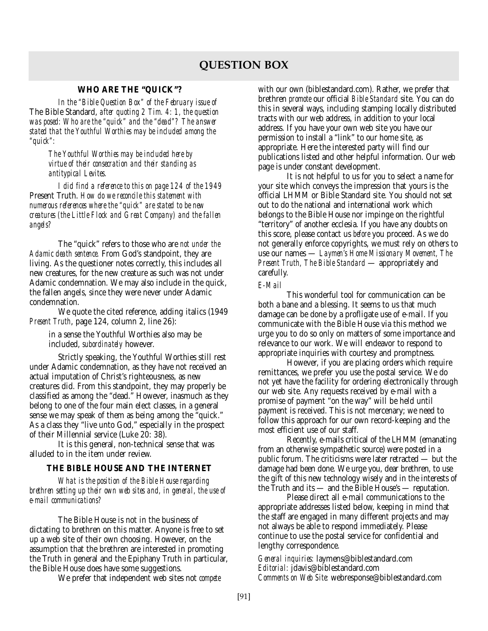## **QUESTION BOX**

## **WHO ARE THE "QUICK"?**

*In the "Bible Question Box" of the February issue of* The Bible Standard, *after quoting 2 Tim. 4: 1, the question was posed: Who are the "quick" and the "dead"? The answer stated that the Youthful Worthies may be included among the "quick":*

*The Youthful Worthies may be included here by virtue of their consecration and their standing as antitypical Levites.*

*I did find a reference to this on page 124 of the 1949* Present Truth. *How do we reconcile this statement with numerous references where the "quick" are stated to be new creatures (the Little Flock and Great Company) and the fallen angels?*

The "quick" refers to those who are *not under the Adamic death sentence.* From God's standpoint, they are living. As the questioner notes correctly, this includes all new creatures, for the new creature as such was not under Adamic condemnation. We may also include in the quick, the fallen angels, since they were never under Adamic condemnation.

We quote the cited reference, adding italics (1949 *Present Truth*, page 124, column 2, line 26):

in a sense the Youthful Worthies also may be included, *subordinately* however.

Strictly speaking, the Youthful Worthies still rest under Adamic condemnation, as they have not received an actual imputation of Christ's righteousness, as new creatures did. From this standpoint, they may properly be classified as among the "dead." However, inasmuch as they belong to one of the four main elect classes, in a general sense we may speak of them as being among the "quick." As a class they "live unto God," especially in the prospect of their Millennial service (Luke 20: 38).

It is this general, non-technical sense that was alluded to in the item under review.

## **THE BIBLE HOUSE AND THE INTERNET**

*What is the position of the Bible House regarding brethren setting up their own web sites and, in general, the use of e-mail communications?*

The Bible House is not in the business of dictating to brethren on this matter. Anyone is free to set up a web site of their own choosing. However, on the assumption that the brethren are interested in promoting the Truth in general and the Epiphany Truth in particular, the Bible House does have some suggestions.

We prefer that independent web sites not *compete*

with our own (biblestandard.com). Rather, we prefer that brethren *promote* our official *Bible Standard* site. You can do this in several ways, including stamping locally distributed tracts with our web address, in addition to your local address. If you have your own web site you have our permission to install a "link" to our home site, as appropriate. Here the interested party will find our publications listed and other helpful information. Our web page is under constant development.

It is not helpful to us for you to select a name for your site which conveys the impression that yours is the official LHMM or Bible Standard site. You should not set out to do the national and international work which belongs to the Bible House nor impinge on the rightful "territory" of another ecclesia. If you have any doubts on this score, please contact us *before* you proceed. As we do not generally enforce copyrights, we must rely on others to use our names — *Laymen's Home Missionary Movement, The Present Truth, The Bible Standard* — appropriately and carefully.

#### *E-Mail*

This wonderful tool for communication can be both a bane and a blessing. It seems to us that much damage can be done by a profligate use of e-mail. If you communicate with the Bible House via this method we urge you to do so only on matters of some importance and relevance to our work. We will endeavor to respond to appropriate inquiries with courtesy and promptness.

However, if you are placing orders which require remittances, we prefer you use the postal service. We do not yet have the facility for ordering electronically through our web site. Any requests received by e-mail with a promise of payment "on the way" will be held until payment is received. This is not mercenary; we need to follow this approach for our own record-keeping and the most efficient use of our staff.

Recently, e-mails critical of the LHMM (emanating from an otherwise sympathetic source) were posted in a public forum. The criticisms were later retracted — but the damage had been done. We urge you, dear brethren, to use the gift of this new technology wisely and in the interests of the Truth and its — and the Bible House's — reputation.

Please direct all e-mail communications to the appropriate addresses listed below, keeping in mind that the staff are engaged in many different projects and may not always be able to respond immediately. Please continue to use the postal service for confidential and lengthy correspondence.

*General inquiries:* laymens@biblestandard.com *Editorial:* jdavis@biblestandard.com *Comments on Web Site:* webresponse@biblestandard.com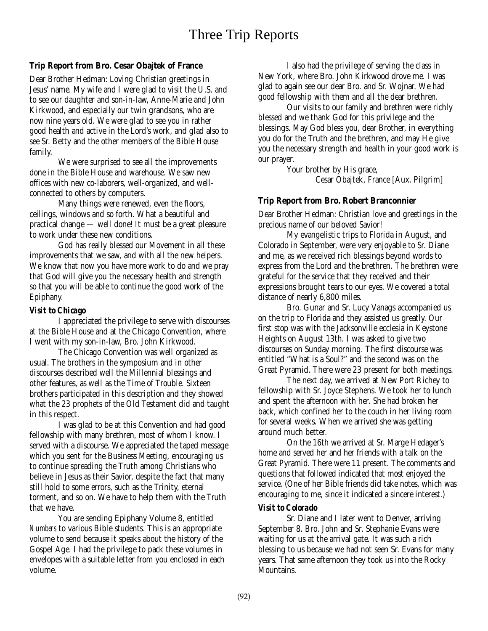## **Trip Report from Bro. Cesar Obajtek of France**

Dear Brother Hedman: Loving Christian greetings in Jesus' name. My wife and I were glad to visit the U.S. and to see our daughter and son-in-law, Anne-Marie and John Kirkwood, and especially our twin grandsons, who are now nine years old. We were glad to see you in rather good health and active in the Lord's work, and glad also to see Sr. Betty and the other members of the Bible House family.

We were surprised to see all the improvements done in the Bible House and warehouse. We saw new offices with new co-laborers, well-organized, and wellconnected to others by computers.

Many things were renewed, even the floors, ceilings, windows and so forth. What a beautiful and practical change — well done! It must be a great pleasure to work under these new conditions.

God has really blessed our Movement in all these improvements that we saw, and with all the new helpers. We know that now you have more work to do and we pray that God will give you the necessary health and strength so that you will be able to continue the good work of the Epiphany.

## *Visit to Chicago*

I appreciated the privilege to serve with discourses at the Bible House and at the Chicago Convention, where I went with my son-in-law, Bro. John Kirkwood.

The Chicago Convention was well organized as usual. The brothers in the symposium and in other discourses described well the Millennial blessings and other features, as well as the Time of Trouble. Sixteen brothers participated in this description and they showed what the 23 prophets of the Old Testament did and taught in this respect.

I was glad to be at this Convention and had good fellowship with many brethren, most of whom I know. I served with a discourse. We appreciated the taped message which you sent for the Business Meeting, encouraging us to continue spreading the Truth among Christians who believe in Jesus as their Savior, despite the fact that many still hold to some errors, such as the Trinity, eternal torment, and so on. We have to help them with the Truth that we have.

You are sending Epiphany Volume 8, entitled *Numbers* to various Bible students. This is an appropriate volume to send because it speaks about the history of the Gospel Age. I had the privilege to pack these volumes in envelopes with a suitable letter from you enclosed in each volume.

I also had the privilege of serving the class in New York, where Bro. John Kirkwood drove me. I was glad to again see our dear Bro. and Sr. Wojnar. We had good fellowship with them and all the dear brethren.

Our visits to our family and brethren were richly blessed and we thank God for this privilege and the blessings. May God bless you, dear Brother, in everything you do for the Truth and the brethren, and may He give you the necessary strength and health in your good work is our prayer.

Your brother by His grace, Cesar Obajtek, France [Aux. Pilgrim]

## **Trip Report from Bro. Robert Branconnier**

Dear Brother Hedman: Christian love and greetings in the precious name of our beloved Savior!

My evangelistic trips to Florida in August, and Colorado in September, were very enjoyable to Sr. Diane and me, as we received rich blessings beyond words to express from the Lord and the brethren. The brethren were grateful for the service that they received and their expressions brought tears to our eyes. We covered a total distance of nearly 6,800 miles.

Bro. Gunar and Sr. Lucy Vanags accompanied us on the trip to Florida and they assisted us greatly. Our first stop was with the Jacksonville ecclesia in Keystone Heights on August 13th. I was asked to give two discourses on Sunday morning. The first discourse was entitled "What is a Soul?" and the second was on the Great Pyramid. There were 23 present for both meetings.

The next day, we arrived at New Port Richey to fellowship with Sr. Joyce Stephens. We took her to lunch and spent the afternoon with her. She had broken her back, which confined her to the couch in her living room for several weeks. When we arrived she was getting around much better.

On the 16th we arrived at Sr. Marge Hedager's home and served her and her friends with a talk on the Great Pyramid. There were 11 present. The comments and questions that followed indicated that most enjoyed the service. (One of her Bible friends did take notes, which was encouraging to me, since it indicated a sincere interest.)

## *Visit to Colorado*

Sr. Diane and I later went to Denver, arriving September 8. Bro. John and Sr. Stephanie Evans were waiting for us at the arrival gate. It was such a rich blessing to us because we had not seen Sr. Evans for many years. That same afternoon they took us into the Rocky Mountains.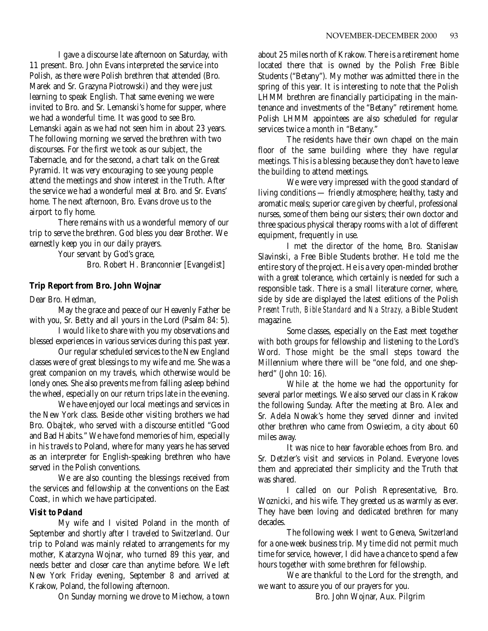I gave a discourse late afternoon on Saturday, with 11 present. Bro. John Evans interpreted the service into Polish, as there were Polish brethren that attended (Bro. Marek and Sr. Grazyna Piotrowski) and they were just learning to speak English. That same evening we were invited to Bro. and Sr. Lemanski's home for supper, where we had a wonderful time. It was good to see Bro. Lemanski again as we had not seen him in about 23 years. The following morning we served the brethren with two discourses. For the first we took as our subject, the Tabernacle, and for the second, a chart talk on the Great Pyramid. It was very encouraging to see young people attend the meetings and show interest in the Truth. After the service we had a wonderful meal at Bro. and Sr. Evans' home. The next afternoon, Bro. Evans drove us to the airport to fly home.

There remains with us a wonderful memory of our trip to serve the brethren. God bless you dear Brother. We earnestly keep you in our daily prayers.

> Your servant by God's grace, Bro. Robert H. Branconnier [Evangelist]

## **Trip Report from Bro. John Wojnar**

Dear Bro. Hedman,

May the grace and peace of our Heavenly Father be with you, Sr. Betty and all yours in the Lord (Psalm 84: 5).

I would like to share with you my observations and blessed experiences in various services during this past year.

Our regular scheduled services to the New England classes were of great blessings to my wife and me. She was a great companion on my travels, which otherwise would be lonely ones. She also prevents me from falling asleep behind the wheel, especially on our return trips late in the evening.

We have enjoyed our local meetings and services in the New York class. Beside other visiting brothers we had Bro. Obajtek, who served with a discourse entitled "Good and Bad Habits." We have fond memories of him, especially in his travels to Poland, where for many years he has served as an interpreter for English-speaking brethren who have served in the Polish conventions.

We are also counting the blessings received from the services and fellowship at the conventions on the East Coast, in which we have participated.

## *Visit to Poland*

My wife and I visited Poland in the month of September and shortly after I traveled to Switzerland. Our trip to Poland was mainly related to arrangements for my mother, Katarzyna Wojnar, who turned 89 this year, and needs better and closer care than anytime before. We left New York Friday evening, September 8 and arrived at Krakow, Poland, the following afternoon.

On Sunday morning we drove to Miechow, a town

about 25 miles north of Krakow. There is a retirement home located there that is owned by the Polish Free Bible Students ("Betany"). My mother was admitted there in the spring of this year. It is interesting to note that the Polish LHMM brethren are financially participating in the maintenance and investments of the "Betany" retirement home. Polish LHMM appointees are also scheduled for regular services twice a month in "Betany."

The residents have their own chapel on the main floor of the same building where they have regular meetings. This is a blessing because they don't have to leave the building to attend meetings.

We were very impressed with the good standard of living conditions — friendly atmosphere; healthy, tasty and aromatic meals; superior care given by cheerful, professional nurses, some of them being our sisters; their own doctor and three spacious physical therapy rooms with a lot of different equipment, frequently in use.

I met the director of the home, Bro. Stanislaw Slavinski, a Free Bible Students brother. He told me the entire story of the project. He is a very open-minded brother with a great tolerance, which certainly is needed for such a responsible task. There is a small literature corner, where, side by side are displayed the latest editions of the Polish *Present Truth, Bible Standard* and *Na Strazy,* a Bible Student magazine.

Some classes, especially on the East meet together with both groups for fellowship and listening to the Lord's Word. Those might be the small steps toward the Millennium where there will be "one fold, and one shepherd" (John 10: 16).

While at the home we had the opportunity for several parlor meetings. We also served our class in Krakow the following Sunday. After the meeting at Bro. Alex and Sr. Adela Nowak's home they served dinner and invited other brethren who came from Oswiecim, a city about 60 miles away.

It was nice to hear favorable echoes from Bro. and Sr. Detzler's visit and services in Poland. Everyone loves them and appreciated their simplicity and the Truth that was shared.

I called on our Polish Representative, Bro. Woznicki, and his wife. They greeted us as warmly as ever. They have been loving and dedicated brethren for many decades.

The following week I went to Geneva, Switzerland for a one-week business trip. My time did not permit much time for service, however, I did have a chance to spend a few hours together with some brethren for fellowship.

We are thankful to the Lord for the strength, and we want to assure you of our prayers for you.

Bro. John Wojnar, Aux. Pilgrim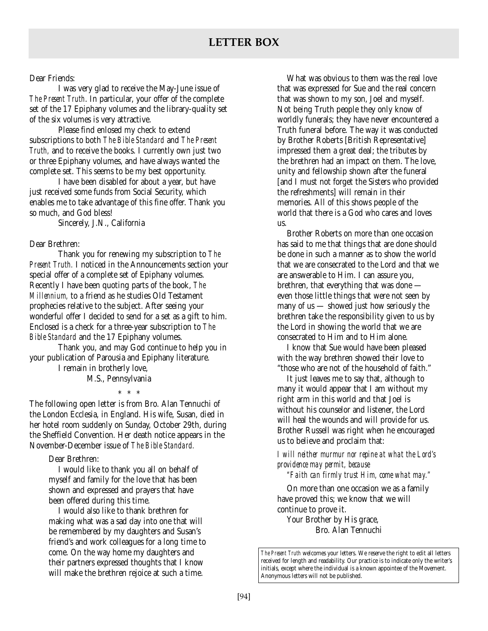## Dear Friends:

I was very glad to receive the May-June issue of *The Present Truth*. In particular, your offer of the complete set of the 17 Epiphany volumes and the library-quality set of the six volumes is very attractive.

Please find enlosed my check to extend subscriptions to both *The Bible Standard* and *The Present Truth,* and to receive the books. I currently own just two or three Epiphany volumes, and have always wanted the complete set. This seems to be my best opportunity.

I have been disabled for about a year, but have just received some funds from Social Security, which enables me to take advantage of this fine offer. Thank you so much, and God bless!

Sincerely, J.N., California

## Dear Brethren:

Thank you for renewing my subscription to *The Present Truth.* I noticed in the Announcements section your special offer of a complete set of Epiphany volumes. Recently I have been quoting parts of the book, *The Millennium,* to a friend as he studies Old Testament prophecies relative to the subject. After seeing your wonderful offer I decided to send for a set as a gift to him. Enclosed is a check for a three-year subscription to *The Bible Standard* and the 17 Epiphany volumes.

Thank you, and may God continue to help you in your publication of Parousia and Epiphany literature.

I remain in brotherly love,

M.S., Pennsylvania

\*\*\*

The following open letter is from Bro. Alan Tennuchi of the London Ecclesia, in England. His wife, Susan, died in her hotel room suddenly on Sunday, October 29th, during the Sheffield Convention. Her death notice appears in the November-December issue of *The Bible Standard.*

## Dear Brethren:

I would like to thank you all on behalf of myself and family for the love that has been shown and expressed and prayers that have been offered during this time.

I would also like to thank brethren for making what was a sad day into one that will be remembered by my daughters and Susan's friend's and work colleagues for a long time to come. On the way home my daughters and their partners expressed thoughts that I know will make the brethren rejoice at such a time.

What was obvious to them was the real love that was expressed for Sue and the real concern that was shown to my son, Joel and myself. Not being Truth people they only know of worldly funerals; they have never encountered a Truth funeral before. The way it was conducted by Brother Roberts [British Representative] impressed them a great deal; the tributes by the brethren had an impact on them. The love, unity and fellowship shown after the funeral [and I must not forget the Sisters who provided the refreshments] will remain in their memories. All of this shows people of the world that there is a God who cares and loves us.

Brother Roberts on more than one occasion has said to me that things that are done should be done in such a manner as to show the world that we are consecrated to the Lord and that we are answerable to Him. I can assure you, brethren, that everything that was done even those little things that were not seen by many of us — showed just how seriously the brethren take the responsibility given to us by the Lord in showing the world that we are consecrated to Him and to Him alone.

I know that Sue would have been pleased with the way brethren showed their love to "those who are not of the household of faith."

It just leaves me to say that, although to many it would appear that I am without my right arm in this world and that Joel is without his counselor and listener, the Lord will heal the wounds and will provide for us. Brother Russell was right when he encouraged us to believe and proclaim that:

*I will neither murmur nor repine at what the Lord's providence may permit, because*

*"Faith can firmly trust Him, come what may."*

On more than one occasion we as a family have proved this; we know that we will continue to prove it.

Your Brother by His grace, Bro. Alan Tennuchi

*The Present Truth* welcomes your letters. We reserve the right to edit all letters received for length and readability. Our practice is to indicate only the writer's initials, except where the individual is a known appointee of the Movement. Anonymous letters will not be published.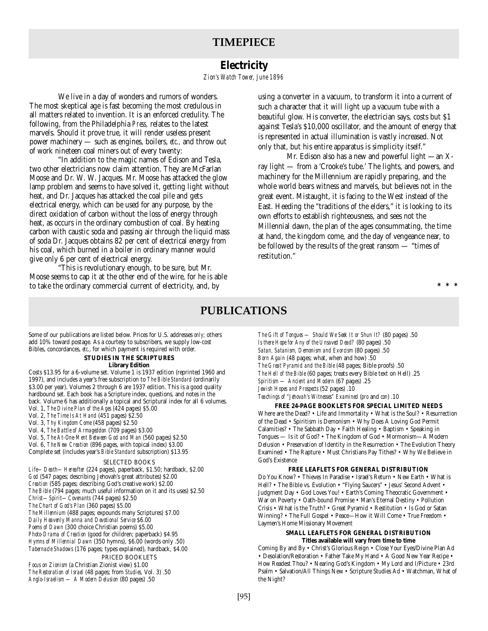## **TIMEPIECE**

## **Electricity**

*Zion's Watch Tower, June 1896*

We live in a day of wonders and rumors of wonders. The most skeptical age is fast becoming the most credulous in all matters related to invention. It is an enforced credulity. The following, from the Philadelphia *Press,* relates to the latest marvels. Should it prove true, it will render useless present power machinery — such as engines, boilers, *etc.,* and throw out of work nineteen coal miners out of every twenty:

"In addition to the magic names of Edison and Tesla, two other electricians now claim attention. They are McFarlan Moose and Dr. W. W. Jacques. Mr. Moose has attacked the glow lamp problem and seems to have solved it, getting light without heat, and Dr. Jacques has attacked the coal pile and gets electrical energy, which can be used for any purpose, by the direct oxidation of carbon without the loss of energy through heat, as occurs in the ordinary combustion of coal. By heating carbon with caustic soda and passing air through the liquid mass of soda Dr. Jacques obtains 82 per cent of electrical energy from his coal, which burned in a boiler in ordinary manner would give only 6 per cent of electrical energy.

"This is revolutionary enough, to be sure, but Mr. Moose seems to cap it at the other end of the wire, for he is able to take the ordinary commercial current of electricity, and, by

using a converter in a vacuum, to transform it into a current of such a character that it will light up a vacuum tube with a beautiful glow. His converter, the electrician says, costs but \$1 against Tesla's \$10,000 oscillator, and the amount of energy that is represented in actual illumination is vastly increased. Not only that, but his entire apparatus is simplicity itself."

Mr. Edison also has a new and powerful light —an Xray light — from a 'Crooke's tube.' The lights, and powers, and machinery for the Millennium are rapidly preparing, and the whole world bears witness and marvels, but believes not in the great event. Mistaught, it is facing to the West instead of the East. Heeding the "traditions of the elders," it is looking to its own efforts to establish righteousness, and sees not the Millennial dawn, the plan of the ages consummating, the time at hand, the kingdom come, and the day of vengeance near, to be followed by the results of the great ransom — "times of restitution."

**\*\*\***

## **PUBLICATIONS**

Some of our publications are listed below. Prices for U.S. addresses *only;* others add 10% toward postage. As a courtesy to subscribers, we supply low-cost Bibles, concordances, *etc*., for which payment is required with order.

**STUDIES IN THE SCRIPTURES**

#### **Library Edition**

Costs \$13.95 for a 6-volume set. Volume 1 is 1937 edition (reprinted 1960 and 1997), and includes a year's free subscription to *The Bible Standard* (ordinarily \$3.00 per year). Volumes 2 through 6 are 1937 edition. This is a good quality hardbound set. Each book has a Scripture index, questions, and notes in the back. Volume 6 has additionally a topical and Scriptural index for all 6 volumes. Vol. 1, *The Divine Plan of the Ages* (424 pages) \$5.00

- Vol. 2, *The Time Is At Hand* (451 pages) \$2.50
- Vol. 3, *Thy Kingdom Come* (458 pages) \$2.50

Vol. 4, *The Battle of Armageddon* (709 pages) \$3.00

Vol. 5, *The At-One-Ment Between God and Man* (560 pages) \$2.50

Vol. 6, *The New Creation* (896 pages, with topical index) \$3.00 Complete set (includes year's *Bible Standard* subscription) \$13.95

#### SELECTED BOOKS

*Life—Death—Hereafter* (224 pages), paperback, \$1.50; hardback, \$2.00 *God* (547 pages; describing Jehovah's great attributes) \$2.00 *Creation* (585 pages; describing God's creative work) \$2.00 *The Bible* (794 pages; much useful information on it and its uses) \$2.50 *Christ—Spirit—Covenants* (744 pages) \$2.50 *The Chart of God's Plan* (360 pages) \$5.00 *The Millennium* (488 pages; expounds many Scriptures) \$7.00 *Daily Heavenly Manna and Devotional Service* \$6.00 *Poems of Dawn* (300 choice Christian poems) \$5.00 *Photo-Drama of Creation* (good for children; paperback) \$4.95 *Hymns of Millennial Dawn* (350 hymns), \$6.00 (words only .50) *Tabernacle Shadows* (176 pages; types explained), hardback, \$4.00 PRICED BOOKLETS *Focus on Zionism* (a Christian Zionist view) \$1.00 *The Restoration of Israel* (48 pages; from *Studies,* Vol. 3) .50

*Anglo-Israelism — A Modern Delusion* (80 pages) .50

*The Gift of Tongues — Should We Seek It or Shun It?* (80 pages) .50 *Is there Hope for Any of the Unsaved Dead?* (80 pages) .50 *Satan, Satanism, Demonism and Exorcism* (80 pages) .50 *Born Again* (48 pages; what, when and how) .50 *The Great Pyramid and the Bible* (48 pages; Bible proofs) .50 *The Hell of the Bible* (60 pages; treats every Bible text on Hell) .25 *Spiritism — Ancient and Modern* (67 pages) .25 *Jewish Hopes and Prospects* (52 pages) .10 *Teachings of "Jehovah's Witnesses" Examined* (*pro* and *con*) .10

**FREE 24-PAGE BOOKLETS FOR SPECIAL LIMITED NEEDS**

Where are the Dead? • Life and Immortality • What is the Soul? • Resurrection of the Dead • Spiritism is Demonism • Why Does A Loving God Permit Calamities? • The Sabbath Day • Faith Healing • Baptism • Speaking in Tongues — Is it of God? • The Kingdom of God • Mormonism—A Modern Delusion • Preservation of Identity in the Resurrection • The Evolution Theory Examined • The Rapture • Must Christians Pay Tithes? • Why We Believe in God's Existence

#### **FREE LEAFLETS FOR GENERAL DISTRIBUTION**

Do You Know? • Thieves In Paradise • Israel's Return • New Earth • What is Hell? • The Bible vs. Evolution • "Flying Saucers" • Jesus' Second Advent • Judgment Day • God Loves You! • Earth's Coming Theocratic Government • War on Poverty • Oath-bound Promise • Man's Eternal Destiny • Pollution Crisis • What is the Truth? • Great Pyramid • Restitution • Is God or Satan Winning? • The Full Gospel • Peace—How it Will Come • True Freedom • Laymen's Home Missionary Movement

#### **SMALL LEAFLETS FOR GENERAL DISTRIBUTION Titles available will vary from time to time**

Coming By and By • Christ's Glorious Reign • Close Your Eyes/Divine Plan Ad • Desolation/Restoration • Father Take My Hand • A Good New Year Recipe • How Readest Thou? • Nearing God's Kingdom • My Lord and I/Picture • 23rd Psalm • Salvation/All Things New • Scripture Studies Ad • Watchman, What of the Night?